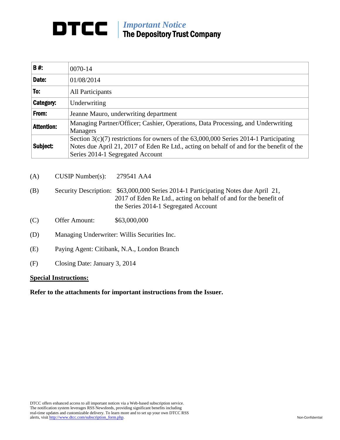## *Important Notice* The Depository Trust Company

| B#:               | 0070-14                                                                                                                                                                                                               |
|-------------------|-----------------------------------------------------------------------------------------------------------------------------------------------------------------------------------------------------------------------|
| Date:             | 01/08/2014                                                                                                                                                                                                            |
| To:               | <b>All Participants</b>                                                                                                                                                                                               |
| Category:         | Underwriting                                                                                                                                                                                                          |
| From:             | Jeanne Mauro, underwriting department                                                                                                                                                                                 |
| <b>Attention:</b> | Managing Partner/Officer; Cashier, Operations, Data Processing, and Underwriting<br><b>Managers</b>                                                                                                                   |
| Subject:          | Section 3(c)(7) restrictions for owners of the 63,000,000 Series 2014-1 Participating<br>Notes due April 21, 2017 of Eden Re Ltd., acting on behalf of and for the benefit of the<br>Series 2014-1 Segregated Account |

(A) CUSIP Number(s): 279541 AA4

- (B) Security Description: \$63,000,000 Series 2014-1 Participating Notes due April 21, 2017 of Eden Re Ltd., acting on behalf of and for the benefit of the Series 2014-1 Segregated Account
- (C) Offer Amount: \$63,000,000
- (D) Managing Underwriter: Willis Securities Inc.
- (E) Paying Agent: Citibank, N.A., London Branch
- (F) Closing Date: January 3, 2014

## **Special Instructions:**

**Refer to the attachments for important instructions from the Issuer.**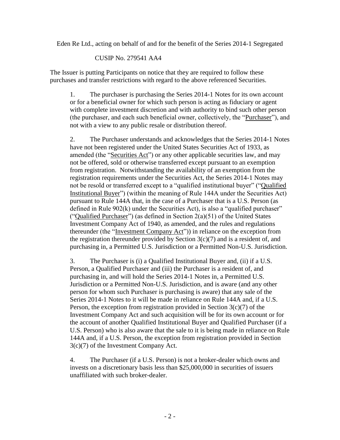Eden Re Ltd., acting on behalf of and for the benefit of the Series 2014-1 Segregated

## CUSIP No. 279541 AA4

The Issuer is putting Participants on notice that they are required to follow these purchases and transfer restrictions with regard to the above referenced Securities.

1. The purchaser is purchasing the Series 2014-1 Notes for its own account or for a beneficial owner for which such person is acting as fiduciary or agent with complete investment discretion and with authority to bind such other person (the purchaser, and each such beneficial owner, collectively, the "Purchaser"), and not with a view to any public resale or distribution thereof.

2. The Purchaser understands and acknowledges that the Series 2014-1 Notes have not been registered under the United States Securities Act of 1933, as amended (the "Securities Act") or any other applicable securities law, and may not be offered, sold or otherwise transferred except pursuant to an exemption from registration. Notwithstanding the availability of an exemption from the registration requirements under the Securities Act, the Series 2014-1 Notes may not be resold or transferred except to a "qualified institutional buyer" ("Qualified Institutional Buyer") (within the meaning of Rule 144A under the Securities Act) pursuant to Rule 144A that, in the case of a Purchaser that is a U.S. Person (as defined in Rule 902(k) under the Securities Act), is also a "qualified purchaser" ("Qualified Purchaser") (as defined in Section  $2(a)(51)$  of the United States Investment Company Act of 1940, as amended, and the rules and regulations thereunder (the "Investment Company Act")) in reliance on the exception from the registration thereunder provided by Section  $3(c)(7)$  and is a resident of, and purchasing in, a Permitted U.S. Jurisdiction or a Permitted Non-U.S. Jurisdiction.

3. The Purchaser is (i) a Qualified Institutional Buyer and, (ii) if a U.S. Person, a Qualified Purchaser and (iii) the Purchaser is a resident of, and purchasing in, and will hold the Series 2014-1 Notes in, a Permitted U.S. Jurisdiction or a Permitted Non-U.S. Jurisdiction, and is aware (and any other person for whom such Purchaser is purchasing is aware) that any sale of the Series 2014-1 Notes to it will be made in reliance on Rule 144A and, if a U.S. Person, the exception from registration provided in Section  $3(c)(7)$  of the Investment Company Act and such acquisition will be for its own account or for the account of another Qualified Institutional Buyer and Qualified Purchaser (if a U.S. Person) who is also aware that the sale to it is being made in reliance on Rule 144A and, if a U.S. Person, the exception from registration provided in Section 3(c)(7) of the Investment Company Act.

4. The Purchaser (if a U.S. Person) is not a broker-dealer which owns and invests on a discretionary basis less than \$25,000,000 in securities of issuers unaffiliated with such broker-dealer.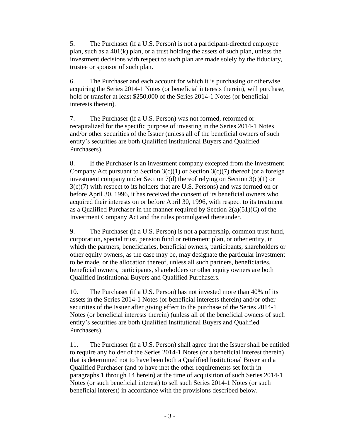5. The Purchaser (if a U.S. Person) is not a participant-directed employee plan, such as a 401(k) plan, or a trust holding the assets of such plan, unless the investment decisions with respect to such plan are made solely by the fiduciary, trustee or sponsor of such plan.

6. The Purchaser and each account for which it is purchasing or otherwise acquiring the Series 2014-1 Notes (or beneficial interests therein), will purchase, hold or transfer at least \$250,000 of the Series 2014-1 Notes (or beneficial interests therein).

7. The Purchaser (if a U.S. Person) was not formed, reformed or recapitalized for the specific purpose of investing in the Series 2014-1 Notes and/or other securities of the Issuer (unless all of the beneficial owners of such entity's securities are both Qualified Institutional Buyers and Qualified Purchasers).

8. If the Purchaser is an investment company excepted from the Investment Company Act pursuant to Section  $3(c)(1)$  or Section  $3(c)(7)$  thereof (or a foreign investment company under Section  $7(d)$  thereof relying on Section  $3(c)(1)$  or 3(c)(7) with respect to its holders that are U.S. Persons) and was formed on or before April 30, 1996, it has received the consent of its beneficial owners who acquired their interests on or before April 30, 1996, with respect to its treatment as a Qualified Purchaser in the manner required by Section  $2(a)(51)(C)$  of the Investment Company Act and the rules promulgated thereunder.

9. The Purchaser (if a U.S. Person) is not a partnership, common trust fund, corporation, special trust, pension fund or retirement plan, or other entity, in which the partners, beneficiaries, beneficial owners, participants, shareholders or other equity owners, as the case may be, may designate the particular investment to be made, or the allocation thereof, unless all such partners, beneficiaries, beneficial owners, participants, shareholders or other equity owners are both Qualified Institutional Buyers and Qualified Purchasers.

10. The Purchaser (if a U.S. Person) has not invested more than 40% of its assets in the Series 2014-1 Notes (or beneficial interests therein) and/or other securities of the Issuer after giving effect to the purchase of the Series 2014-1 Notes (or beneficial interests therein) (unless all of the beneficial owners of such entity's securities are both Qualified Institutional Buyers and Qualified Purchasers).

11. The Purchaser (if a U.S. Person) shall agree that the Issuer shall be entitled to require any holder of the Series 2014-1 Notes (or a beneficial interest therein) that is determined not to have been both a Qualified Institutional Buyer and a Qualified Purchaser (and to have met the other requirements set forth in paragraphs 1 through 14 herein) at the time of acquisition of such Series 2014-1 Notes (or such beneficial interest) to sell such Series 2014-1 Notes (or such beneficial interest) in accordance with the provisions described below.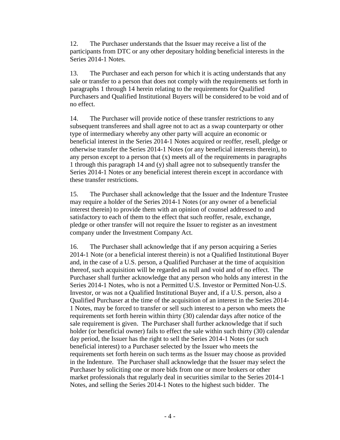12. The Purchaser understands that the Issuer may receive a list of the participants from DTC or any other depositary holding beneficial interests in the Series 2014-1 Notes.

13. The Purchaser and each person for which it is acting understands that any sale or transfer to a person that does not comply with the requirements set forth in paragraphs 1 through 14 herein relating to the requirements for Qualified Purchasers and Qualified Institutional Buyers will be considered to be void and of no effect.

14. The Purchaser will provide notice of these transfer restrictions to any subsequent transferees and shall agree not to act as a swap counterparty or other type of intermediary whereby any other party will acquire an economic or beneficial interest in the Series 2014-1 Notes acquired or reoffer, resell, pledge or otherwise transfer the Series 2014-1 Notes (or any beneficial interests therein), to any person except to a person that (x) meets all of the requirements in paragraphs 1 through this paragraph 14 and (y) shall agree not to subsequently transfer the Series 2014-1 Notes or any beneficial interest therein except in accordance with these transfer restrictions.

15. The Purchaser shall acknowledge that the Issuer and the Indenture Trustee may require a holder of the Series 2014-1 Notes (or any owner of a beneficial interest therein) to provide them with an opinion of counsel addressed to and satisfactory to each of them to the effect that such reoffer, resale, exchange, pledge or other transfer will not require the Issuer to register as an investment company under the Investment Company Act.

16. The Purchaser shall acknowledge that if any person acquiring a Series 2014-1 Note (or a beneficial interest therein) is not a Qualified Institutional Buyer and, in the case of a U.S. person, a Qualified Purchaser at the time of acquisition thereof, such acquisition will be regarded as null and void and of no effect. The Purchaser shall further acknowledge that any person who holds any interest in the Series 2014-1 Notes, who is not a Permitted U.S. Investor or Permitted Non-U.S. Investor, or was not a Qualified Institutional Buyer and, if a U.S. person, also a Qualified Purchaser at the time of the acquisition of an interest in the Series 2014- 1 Notes, may be forced to transfer or sell such interest to a person who meets the requirements set forth herein within thirty (30) calendar days after notice of the sale requirement is given. The Purchaser shall further acknowledge that if such holder (or beneficial owner) fails to effect the sale within such thirty (30) calendar day period, the Issuer has the right to sell the Series 2014-1 Notes (or such beneficial interest) to a Purchaser selected by the Issuer who meets the requirements set forth herein on such terms as the Issuer may choose as provided in the Indenture. The Purchaser shall acknowledge that the Issuer may select the Purchaser by soliciting one or more bids from one or more brokers or other market professionals that regularly deal in securities similar to the Series 2014-1 Notes, and selling the Series 2014-1 Notes to the highest such bidder. The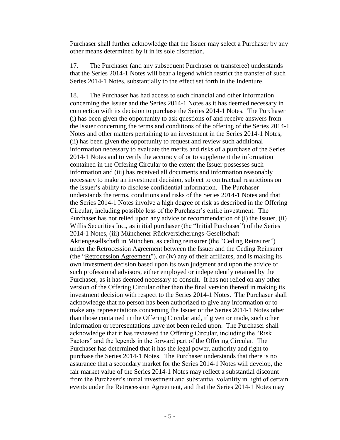Purchaser shall further acknowledge that the Issuer may select a Purchaser by any other means determined by it in its sole discretion.

17. The Purchaser (and any subsequent Purchaser or transferee) understands that the Series 2014-1 Notes will bear a legend which restrict the transfer of such Series 2014-1 Notes, substantially to the effect set forth in the Indenture.

18. The Purchaser has had access to such financial and other information concerning the Issuer and the Series 2014-1 Notes as it has deemed necessary in connection with its decision to purchase the Series 2014-1 Notes. The Purchaser (i) has been given the opportunity to ask questions of and receive answers from the Issuer concerning the terms and conditions of the offering of the Series 2014-1 Notes and other matters pertaining to an investment in the Series 2014-1 Notes, (ii) has been given the opportunity to request and review such additional information necessary to evaluate the merits and risks of a purchase of the Series 2014-1 Notes and to verify the accuracy of or to supplement the information contained in the Offering Circular to the extent the Issuer possesses such information and (iii) has received all documents and information reasonably necessary to make an investment decision, subject to contractual restrictions on the Issuer's ability to disclose confidential information. The Purchaser understands the terms, conditions and risks of the Series 2014-1 Notes and that the Series 2014-1 Notes involve a high degree of risk as described in the Offering Circular, including possible loss of the Purchaser's entire investment. The Purchaser has not relied upon any advice or recommendation of (i) the Issuer, (ii) Willis Securities Inc., as initial purchaser (the "Initial Purchaser") of the Series 2014-1 Notes, (iii) Münchener Rückversicherungs-Gesellschaft Aktiengesellschaft in München, as ceding reinsurer (the "Ceding Reinsurer") under the Retrocession Agreement between the Issuer and the Ceding Reinsurer (the "Retrocession Agreement"), or (iv) any of their affiliates, and is making its own investment decision based upon its own judgment and upon the advice of such professional advisors, either employed or independently retained by the Purchaser, as it has deemed necessary to consult. It has not relied on any other version of the Offering Circular other than the final version thereof in making its investment decision with respect to the Series 2014-1 Notes. The Purchaser shall acknowledge that no person has been authorized to give any information or to make any representations concerning the Issuer or the Series 2014-1 Notes other than those contained in the Offering Circular and, if given or made, such other information or representations have not been relied upon. The Purchaser shall acknowledge that it has reviewed the Offering Circular, including the "Risk Factors" and the legends in the forward part of the Offering Circular. The Purchaser has determined that it has the legal power, authority and right to purchase the Series 2014-1 Notes. The Purchaser understands that there is no assurance that a secondary market for the Series 2014-1 Notes will develop, the fair market value of the Series 2014-1 Notes may reflect a substantial discount from the Purchaser's initial investment and substantial volatility in light of certain events under the Retrocession Agreement, and that the Series 2014-1 Notes may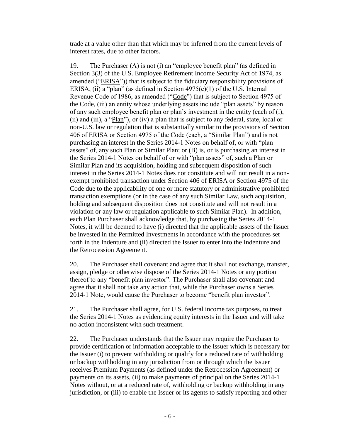trade at a value other than that which may be inferred from the current levels of interest rates, due to other factors.

19. The Purchaser (A) is not (i) an "employee benefit plan" (as defined in Section 3(3) of the U.S. Employee Retirement Income Security Act of 1974, as amended ("ERISA")) that is subject to the fiduciary responsibility provisions of ERISA, (ii) a "plan" (as defined in Section  $4975(e)(1)$  of the U.S. Internal Revenue Code of 1986, as amended ("Code") that is subject to Section 4975 of the Code, (iii) an entity whose underlying assets include "plan assets" by reason of any such employee benefit plan or plan's investment in the entity (each of (i), (ii) and (iii), a "Plan"), or (iv) a plan that is subject to any federal, state, local or non-U.S. law or regulation that is substantially similar to the provisions of Section 406 of ERISA or Section 4975 of the Code (each, a "Similar Plan") and is not purchasing an interest in the Series 2014-1 Notes on behalf of, or with "plan assets" of, any such Plan or Similar Plan; or (B) is, or is purchasing an interest in the Series 2014-1 Notes on behalf of or with "plan assets" of, such a Plan or Similar Plan and its acquisition, holding and subsequent disposition of such interest in the Series 2014-1 Notes does not constitute and will not result in a nonexempt prohibited transaction under Section 406 of ERISA or Section 4975 of the Code due to the applicability of one or more statutory or administrative prohibited transaction exemptions (or in the case of any such Similar Law, such acquisition, holding and subsequent disposition does not constitute and will not result in a violation or any law or regulation applicable to such Similar Plan). In addition, each Plan Purchaser shall acknowledge that, by purchasing the Series 2014-1 Notes, it will be deemed to have (i) directed that the applicable assets of the Issuer be invested in the Permitted Investments in accordance with the procedures set forth in the Indenture and (ii) directed the Issuer to enter into the Indenture and the Retrocession Agreement.

20. The Purchaser shall covenant and agree that it shall not exchange, transfer, assign, pledge or otherwise dispose of the Series 2014-1 Notes or any portion thereof to any "benefit plan investor". The Purchaser shall also covenant and agree that it shall not take any action that, while the Purchaser owns a Series 2014-1 Note, would cause the Purchaser to become "benefit plan investor".

21. The Purchaser shall agree, for U.S. federal income tax purposes, to treat the Series 2014-1 Notes as evidencing equity interests in the Issuer and will take no action inconsistent with such treatment.

22. The Purchaser understands that the Issuer may require the Purchaser to provide certification or information acceptable to the Issuer which is necessary for the Issuer (i) to prevent withholding or qualify for a reduced rate of withholding or backup withholding in any jurisdiction from or through which the Issuer receives Premium Payments (as defined under the Retrocession Agreement) or payments on its assets, (ii) to make payments of principal on the Series 2014-1 Notes without, or at a reduced rate of, withholding or backup withholding in any jurisdiction, or (iii) to enable the Issuer or its agents to satisfy reporting and other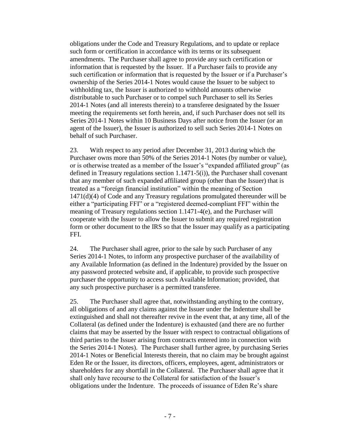obligations under the Code and Treasury Regulations, and to update or replace such form or certification in accordance with its terms or its subsequent amendments. The Purchaser shall agree to provide any such certification or information that is requested by the Issuer. If a Purchaser fails to provide any such certification or information that is requested by the Issuer or if a Purchaser's ownership of the Series 2014-1 Notes would cause the Issuer to be subject to withholding tax, the Issuer is authorized to withhold amounts otherwise distributable to such Purchaser or to compel such Purchaser to sell its Series 2014-1 Notes (and all interests therein) to a transferee designated by the Issuer meeting the requirements set forth herein, and, if such Purchaser does not sell its Series 2014-1 Notes within 10 Business Days after notice from the Issuer (or an agent of the Issuer), the Issuer is authorized to sell such Series 2014-1 Notes on behalf of such Purchaser.

23. With respect to any period after December 31, 2013 during which the Purchaser owns more than 50% of the Series 2014-1 Notes (by number or value), or is otherwise treated as a member of the Issuer's "expanded affiliated group" (as defined in Treasury regulations section  $1.1471-5(i)$ , the Purchaser shall covenant that any member of such expanded affiliated group (other than the Issuer) that is treated as a "foreign financial institution" within the meaning of Section 1471(d)(4) of Code and any Treasury regulations promulgated thereunder will be either a "participating FFI" or a "registered deemed-compliant FFI" within the meaning of Treasury regulations section 1.1471-4(e), and the Purchaser will cooperate with the Issuer to allow the Issuer to submit any required registration form or other document to the IRS so that the Issuer may qualify as a participating FFI.

24. The Purchaser shall agree, prior to the sale by such Purchaser of any Series 2014-1 Notes, to inform any prospective purchaser of the availability of any Available Information (as defined in the Indenture) provided by the Issuer on any password protected website and, if applicable, to provide such prospective purchaser the opportunity to access such Available Information; provided, that any such prospective purchaser is a permitted transferee.

25. The Purchaser shall agree that, notwithstanding anything to the contrary, all obligations of and any claims against the Issuer under the Indenture shall be extinguished and shall not thereafter revive in the event that, at any time, all of the Collateral (as defined under the Indenture) is exhausted (and there are no further claims that may be asserted by the Issuer with respect to contractual obligations of third parties to the Issuer arising from contracts entered into in connection with the Series 2014-1 Notes). The Purchaser shall further agree, by purchasing Series 2014-1 Notes or Beneficial Interests therein, that no claim may be brought against Eden Re or the Issuer, its directors, officers, employees, agent, administrators or shareholders for any shortfall in the Collateral. The Purchaser shall agree that it shall only have recourse to the Collateral for satisfaction of the Issuer's obligations under the Indenture. The proceeds of issuance of Eden Re's share